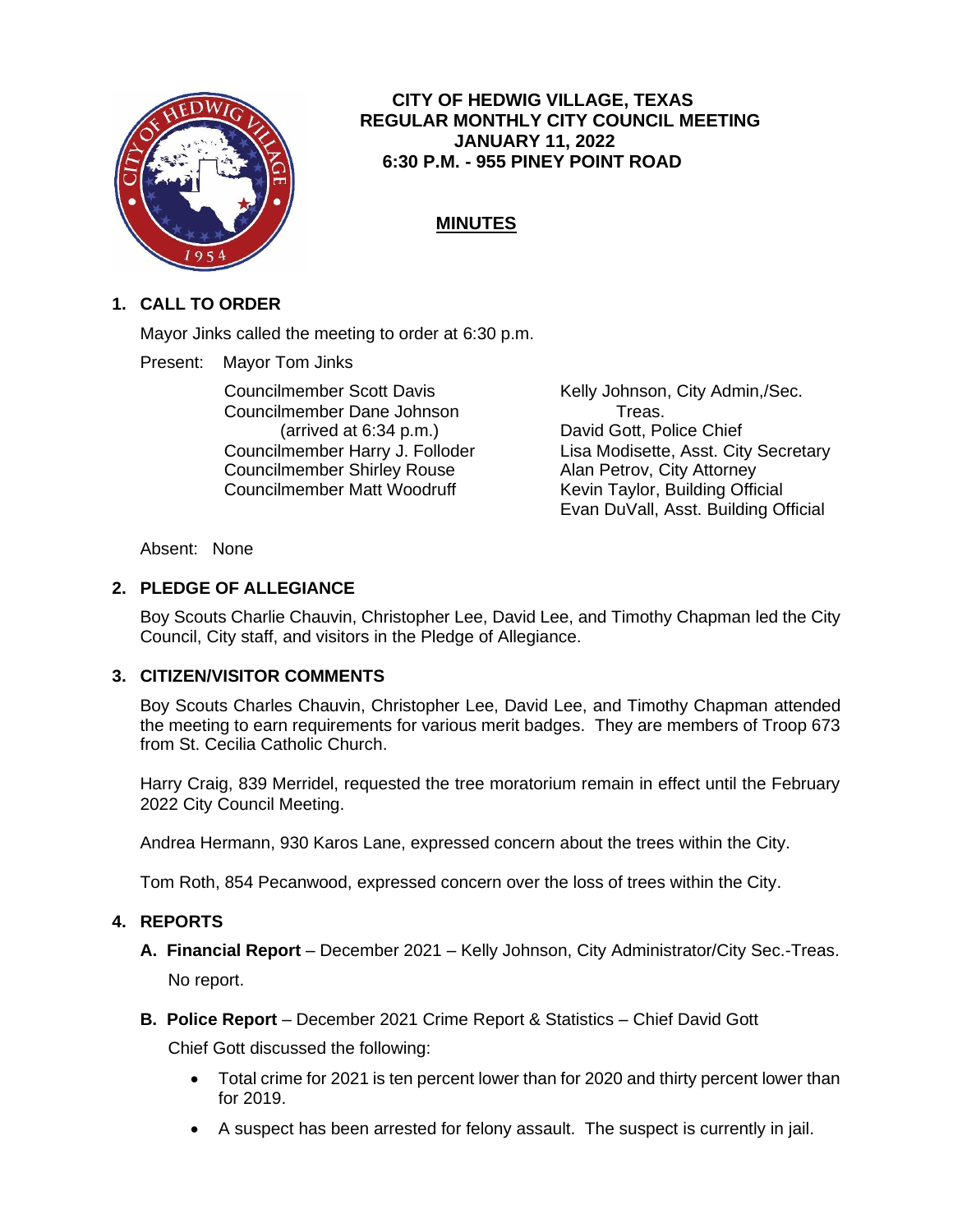

## **CITY OF HEDWIG VILLAGE, TEXAS REGULAR MONTHLY CITY COUNCIL MEETING JANUARY 11, 2022 6:30 P.M. - 955 PINEY POINT ROAD**

# **MINUTES**

## **1. CALL TO ORDER**

Mayor Jinks called the meeting to order at 6:30 p.m.

Present: Mayor Tom Jinks

Councilmember Scott Davis Kelly Johnson, City Admin,/Sec. Councilmember Dane Johnson Treas. (arrived at 6:34 p.m.) David Gott, Police Chief Councilmember Shirley Rouse **Alan Petrov, City Attorney** Councilmember Matt Woodruff Kevin Taylor, Building Official

Councilmember Harry J. Folloder Lisa Modisette, Asst. City Secretary Evan DuVall, Asst. Building Official

#### Absent: None

## **2. PLEDGE OF ALLEGIANCE**

Boy Scouts Charlie Chauvin, Christopher Lee, David Lee, and Timothy Chapman led the City Council, City staff, and visitors in the Pledge of Allegiance.

## **3. CITIZEN/VISITOR COMMENTS**

Boy Scouts Charles Chauvin, Christopher Lee, David Lee, and Timothy Chapman attended the meeting to earn requirements for various merit badges. They are members of Troop 673 from St. Cecilia Catholic Church.

Harry Craig, 839 Merridel, requested the tree moratorium remain in effect until the February 2022 City Council Meeting.

Andrea Hermann, 930 Karos Lane, expressed concern about the trees within the City.

Tom Roth, 854 Pecanwood, expressed concern over the loss of trees within the City.

## **4. REPORTS**

- **A. Financial Report**  December 2021 Kelly Johnson, City Administrator/City Sec.-Treas. No report.
- **B. Police Report** December 2021 Crime Report & Statistics Chief David Gott

Chief Gott discussed the following:

- Total crime for 2021 is ten percent lower than for 2020 and thirty percent lower than for 2019.
- A suspect has been arrested for felony assault. The suspect is currently in jail.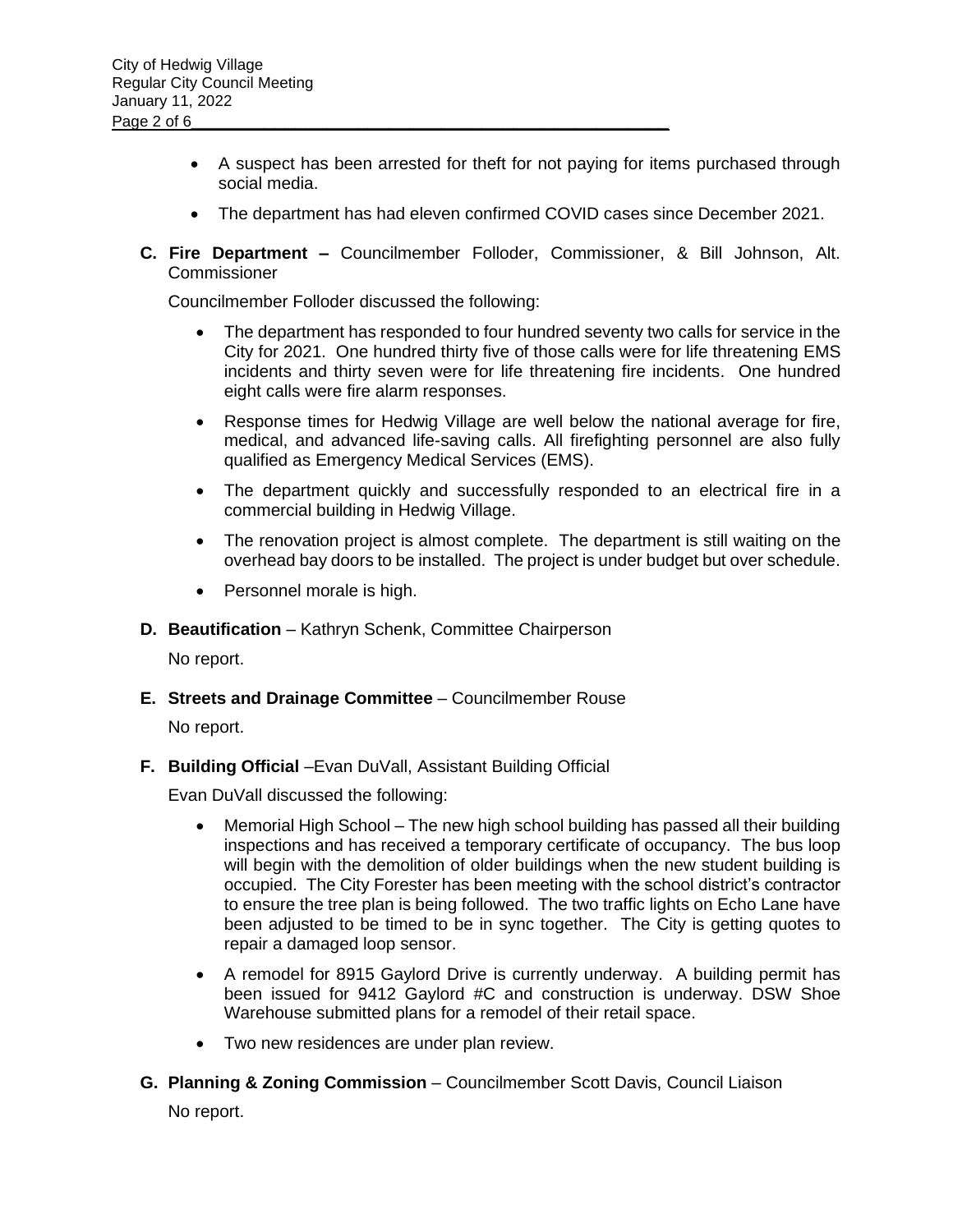- A suspect has been arrested for theft for not paying for items purchased through social media.
- The department has had eleven confirmed COVID cases since December 2021.
- **C. Fire Department –** Councilmember Folloder, Commissioner, & Bill Johnson, Alt. **Commissioner**

Councilmember Folloder discussed the following:

- The department has responded to four hundred seventy two calls for service in the City for 2021. One hundred thirty five of those calls were for life threatening EMS incidents and thirty seven were for life threatening fire incidents. One hundred eight calls were fire alarm responses.
- Response times for Hedwig Village are well below the national average for fire, medical, and advanced life-saving calls. All firefighting personnel are also fully qualified as Emergency Medical Services (EMS).
- The department quickly and successfully responded to an electrical fire in a commercial building in Hedwig Village.
- The renovation project is almost complete. The department is still waiting on the overhead bay doors to be installed. The project is under budget but over schedule.
- Personnel morale is high.
- **D. Beautification** Kathryn Schenk, Committee Chairperson

No report.

**E. Streets and Drainage Committee** – Councilmember Rouse

No report.

**F.** Building Official – Evan DuVall, Assistant Building Official

Evan DuVall discussed the following:

- Memorial High School The new high school building has passed all their building inspections and has received a temporary certificate of occupancy. The bus loop will begin with the demolition of older buildings when the new student building is occupied. The City Forester has been meeting with the school district's contractor to ensure the tree plan is being followed. The two traffic lights on Echo Lane have been adjusted to be timed to be in sync together. The City is getting quotes to repair a damaged loop sensor.
- A remodel for 8915 Gaylord Drive is currently underway. A building permit has been issued for 9412 Gaylord #C and construction is underway. DSW Shoe Warehouse submitted plans for a remodel of their retail space.
- Two new residences are under plan review.
- **G. Planning & Zoning Commission**  Councilmember Scott Davis, Council Liaison No report.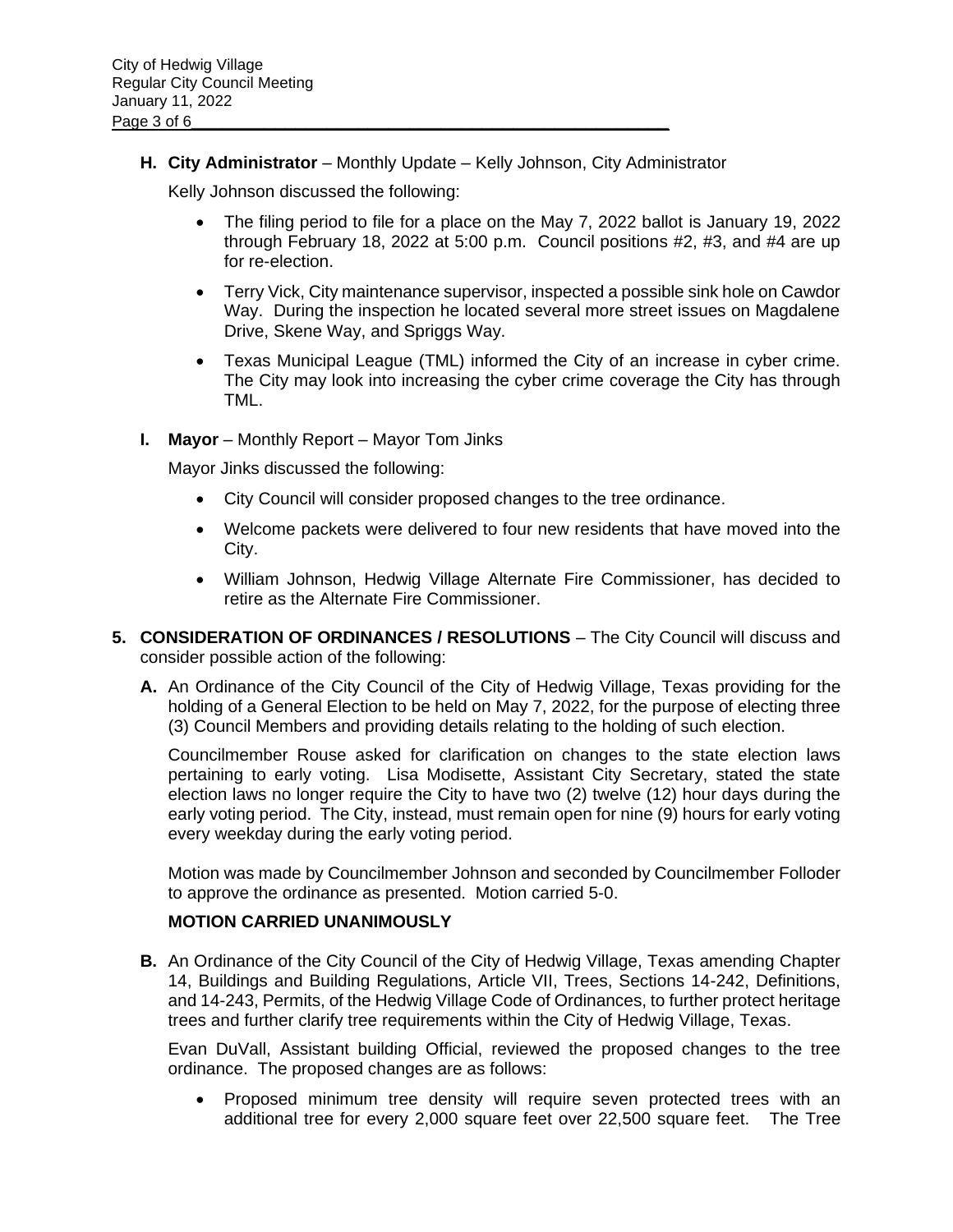**H. City Administrator** – Monthly Update – Kelly Johnson, City Administrator

Kelly Johnson discussed the following:

- The filing period to file for a place on the May 7, 2022 ballot is January 19, 2022 through February 18, 2022 at 5:00 p.m. Council positions #2, #3, and #4 are up for re-election.
- Terry Vick, City maintenance supervisor, inspected a possible sink hole on Cawdor Way. During the inspection he located several more street issues on Magdalene Drive, Skene Way, and Spriggs Way.
- Texas Municipal League (TML) informed the City of an increase in cyber crime. The City may look into increasing the cyber crime coverage the City has through TML.
- **I.** Mayor Monthly Report Mayor Tom Jinks

Mayor Jinks discussed the following:

- City Council will consider proposed changes to the tree ordinance.
- Welcome packets were delivered to four new residents that have moved into the City.
- William Johnson, Hedwig Village Alternate Fire Commissioner, has decided to retire as the Alternate Fire Commissioner.
- **5. CONSIDERATION OF ORDINANCES / RESOLUTIONS** The City Council will discuss and consider possible action of the following:
	- **A.** An Ordinance of the City Council of the City of Hedwig Village, Texas providing for the holding of a General Election to be held on May 7, 2022, for the purpose of electing three (3) Council Members and providing details relating to the holding of such election.

Councilmember Rouse asked for clarification on changes to the state election laws pertaining to early voting. Lisa Modisette, Assistant City Secretary, stated the state election laws no longer require the City to have two (2) twelve (12) hour days during the early voting period. The City, instead, must remain open for nine (9) hours for early voting every weekday during the early voting period.

Motion was made by Councilmember Johnson and seconded by Councilmember Folloder to approve the ordinance as presented. Motion carried 5-0.

#### **MOTION CARRIED UNANIMOUSLY**

**B.** An Ordinance of the City Council of the City of Hedwig Village, Texas amending Chapter 14, Buildings and Building Regulations, Article VII, Trees, Sections 14-242, Definitions, and 14-243, Permits, of the Hedwig Village Code of Ordinances, to further protect heritage trees and further clarify tree requirements within the City of Hedwig Village, Texas.

Evan DuVall, Assistant building Official, reviewed the proposed changes to the tree ordinance. The proposed changes are as follows:

• Proposed minimum tree density will require seven protected trees with an additional tree for every 2,000 square feet over 22,500 square feet. The Tree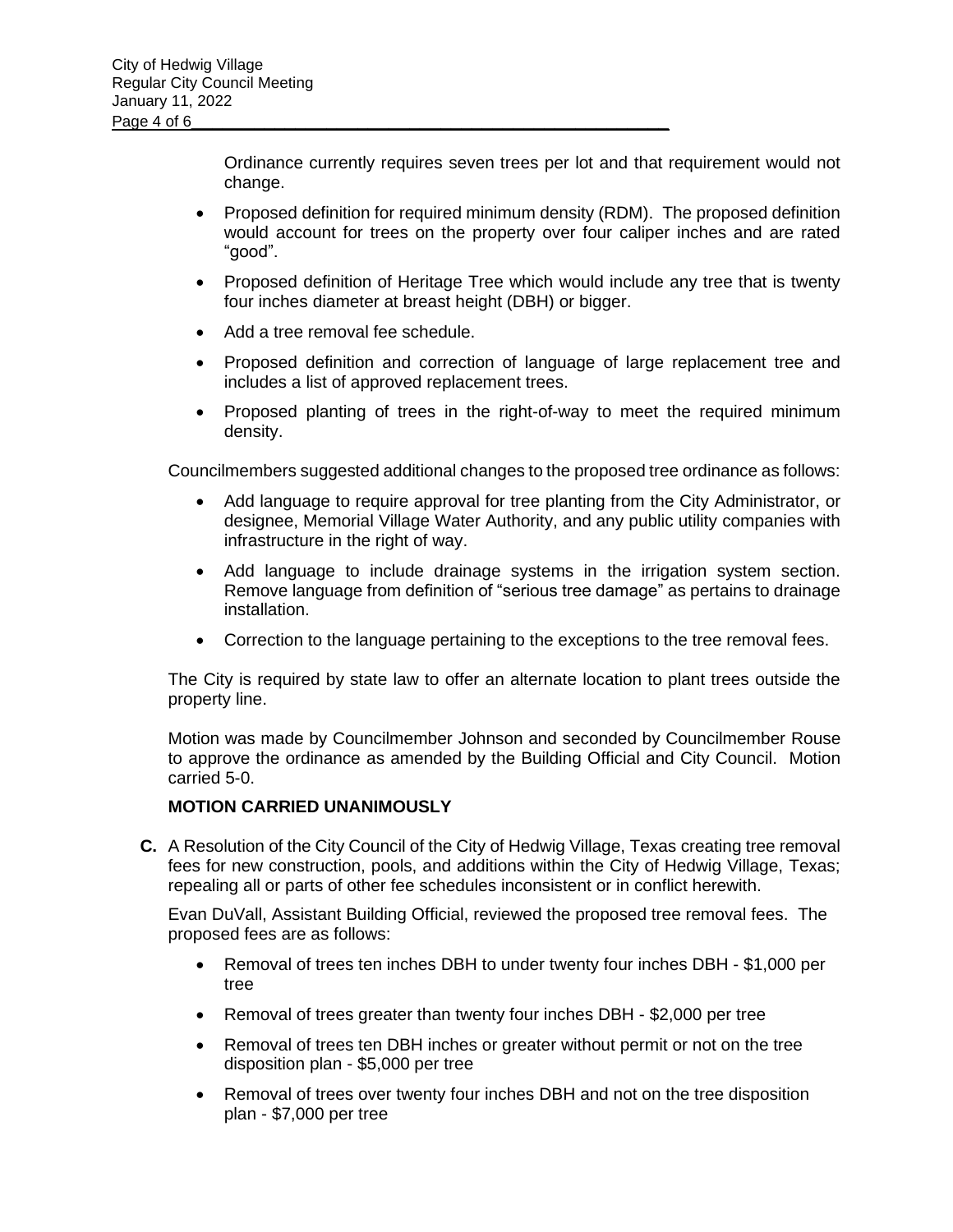Ordinance currently requires seven trees per lot and that requirement would not change.

- Proposed definition for required minimum density (RDM). The proposed definition would account for trees on the property over four caliper inches and are rated "good".
- Proposed definition of Heritage Tree which would include any tree that is twenty four inches diameter at breast height (DBH) or bigger.
- Add a tree removal fee schedule.
- Proposed definition and correction of language of large replacement tree and includes a list of approved replacement trees.
- Proposed planting of trees in the right-of-way to meet the required minimum density.

Councilmembers suggested additional changes to the proposed tree ordinance as follows:

- Add language to require approval for tree planting from the City Administrator, or designee, Memorial Village Water Authority, and any public utility companies with infrastructure in the right of way.
- Add language to include drainage systems in the irrigation system section. Remove language from definition of "serious tree damage" as pertains to drainage installation.
- Correction to the language pertaining to the exceptions to the tree removal fees.

The City is required by state law to offer an alternate location to plant trees outside the property line.

Motion was made by Councilmember Johnson and seconded by Councilmember Rouse to approve the ordinance as amended by the Building Official and City Council. Motion carried 5-0.

#### **MOTION CARRIED UNANIMOUSLY**

**C.** A Resolution of the City Council of the City of Hedwig Village, Texas creating tree removal fees for new construction, pools, and additions within the City of Hedwig Village, Texas; repealing all or parts of other fee schedules inconsistent or in conflict herewith.

Evan DuVall, Assistant Building Official, reviewed the proposed tree removal fees. The proposed fees are as follows:

- Removal of trees ten inches DBH to under twenty four inches DBH \$1,000 per tree
- Removal of trees greater than twenty four inches DBH \$2,000 per tree
- Removal of trees ten DBH inches or greater without permit or not on the tree disposition plan - \$5,000 per tree
- Removal of trees over twenty four inches DBH and not on the tree disposition plan - \$7,000 per tree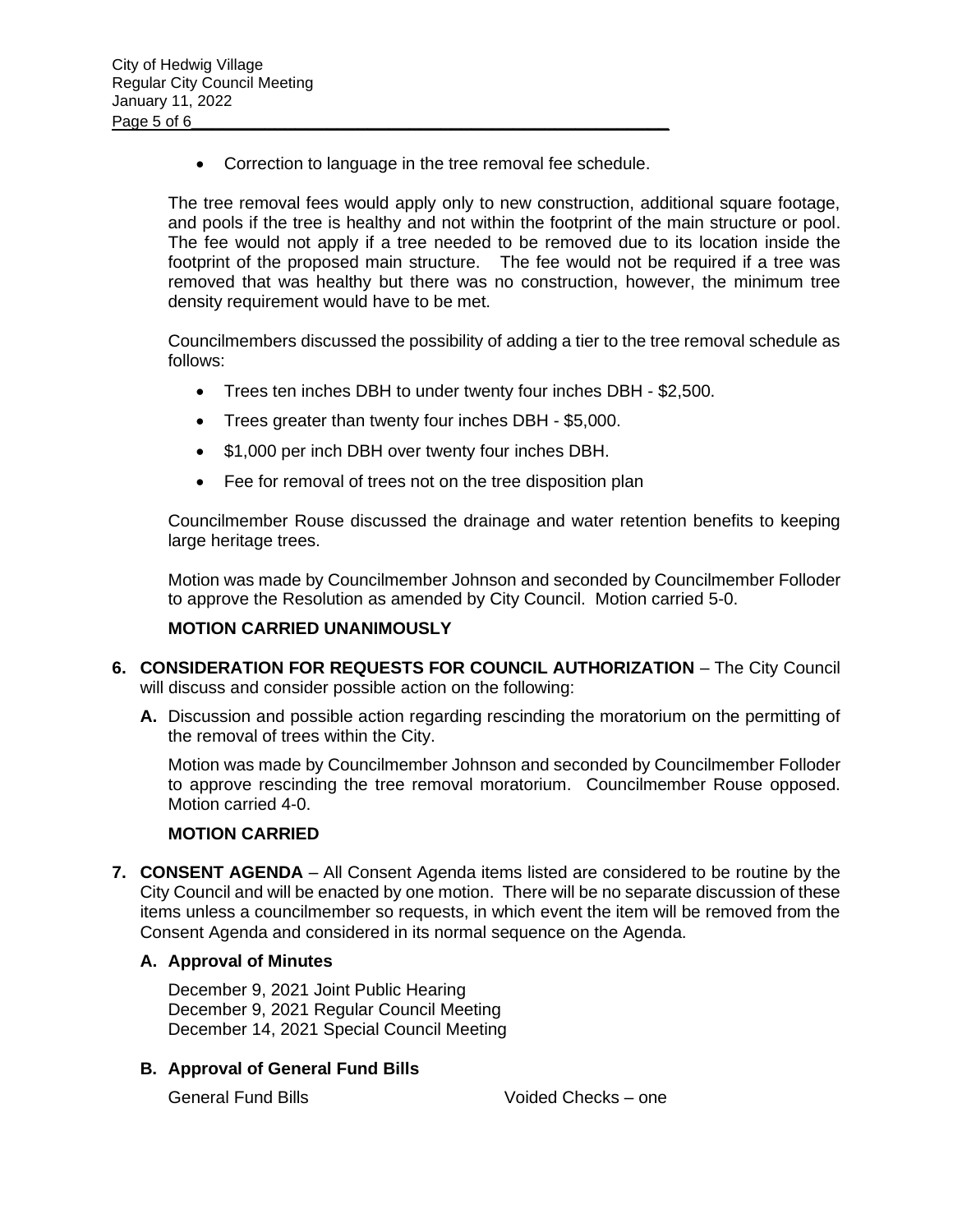• Correction to language in the tree removal fee schedule.

The tree removal fees would apply only to new construction, additional square footage, and pools if the tree is healthy and not within the footprint of the main structure or pool. The fee would not apply if a tree needed to be removed due to its location inside the footprint of the proposed main structure. The fee would not be required if a tree was removed that was healthy but there was no construction, however, the minimum tree density requirement would have to be met.

Councilmembers discussed the possibility of adding a tier to the tree removal schedule as follows:

- Trees ten inches DBH to under twenty four inches DBH \$2,500.
- Trees greater than twenty four inches DBH \$5,000.
- \$1,000 per inch DBH over twenty four inches DBH.
- Fee for removal of trees not on the tree disposition plan

Councilmember Rouse discussed the drainage and water retention benefits to keeping large heritage trees.

Motion was made by Councilmember Johnson and seconded by Councilmember Folloder to approve the Resolution as amended by City Council. Motion carried 5-0.

#### **MOTION CARRIED UNANIMOUSLY**

- **6. CONSIDERATION FOR REQUESTS FOR COUNCIL AUTHORIZATION** The City Council will discuss and consider possible action on the following:
	- **A.** Discussion and possible action regarding rescinding the moratorium on the permitting of the removal of trees within the City.

Motion was made by Councilmember Johnson and seconded by Councilmember Folloder to approve rescinding the tree removal moratorium. Councilmember Rouse opposed. Motion carried 4-0.

#### **MOTION CARRIED**

**7. CONSENT AGENDA** – All Consent Agenda items listed are considered to be routine by the City Council and will be enacted by one motion. There will be no separate discussion of these items unless a councilmember so requests, in which event the item will be removed from the Consent Agenda and considered in its normal sequence on the Agenda.

#### **A. Approval of Minutes**

December 9, 2021 Joint Public Hearing December 9, 2021 Regular Council Meeting December 14, 2021 Special Council Meeting

## **B. Approval of General Fund Bills**

General Fund Bills Voided Checks – one